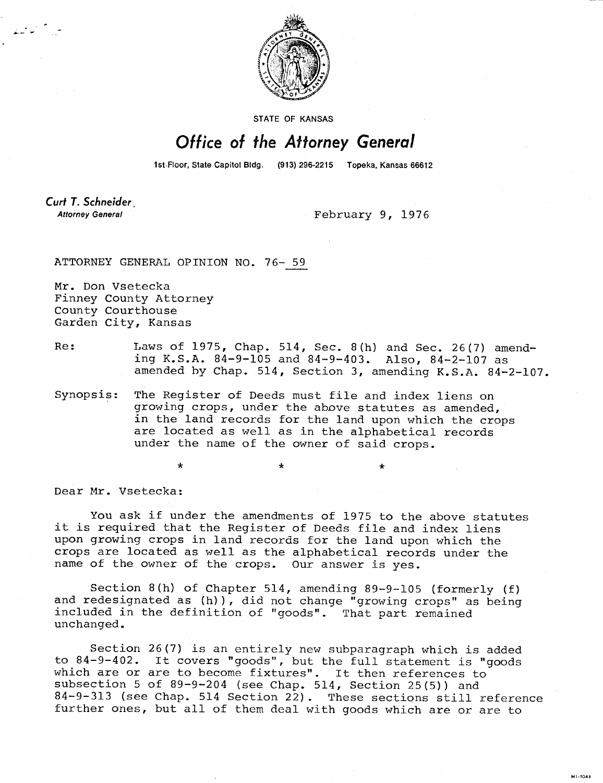

STATE OF KANSAS

## Office of the Attorney General

1st-Floor, State Capitol Bldg. (913) 296-2215 Topeka, Kansas 66612

Curt T. Schneider **Attorney General** 

February 9, 1976

÷

MI-1043

ATTORNEY GENERAL OPINION NO. 76- 59

 $\star$ 

Mr. Don Vsetecka Finney County Attorney County Courthouse Garden City, Kansas

Re: Laws of 1975, Chap. 514, Sec. 8(h) and Sec. 26(7) amending K.S.A. 84-9-105 and 84-9-403. Also, 84-2-107 as amended by Chap. 514, Section 3, amending K.S.A. 84-2-107.

Synopsis: The Register of Deeds must file and index liens on growing crops, under the above statutes as amended, in the land records for the land upon which the crops are located as well as in the alphabetical records under the name of the owner of said crops.

Dear Mr. Vsetecka:

You ask if under the amendments of 1975 to the above statutes it is required that the Register of Deeds file and index liens upon growing crops in land records for the land upon which the crops are located as well as the alphabetical records under the name of the owner of the crops. Our answer is yes.

Section 8(h) of Chapter 514, amending 89-9-105 (formerly (f) and redesignated as (h)), did not change "growing crops" as being included in the definition of "goods". That part remained unchanged.

Section 26(7) is an entirely new subparagraph which is added to 84-9-402. It covers "goods", but the full statement is "goods which are or are to become fixtures". It then references to subsection 5 of 89-9-204 (see Chap. 514, Section 25(5)) and 84-9-313 (see Chap. 514 Section 22). These sections still reference further ones, but all of them deal with goods which are or are to